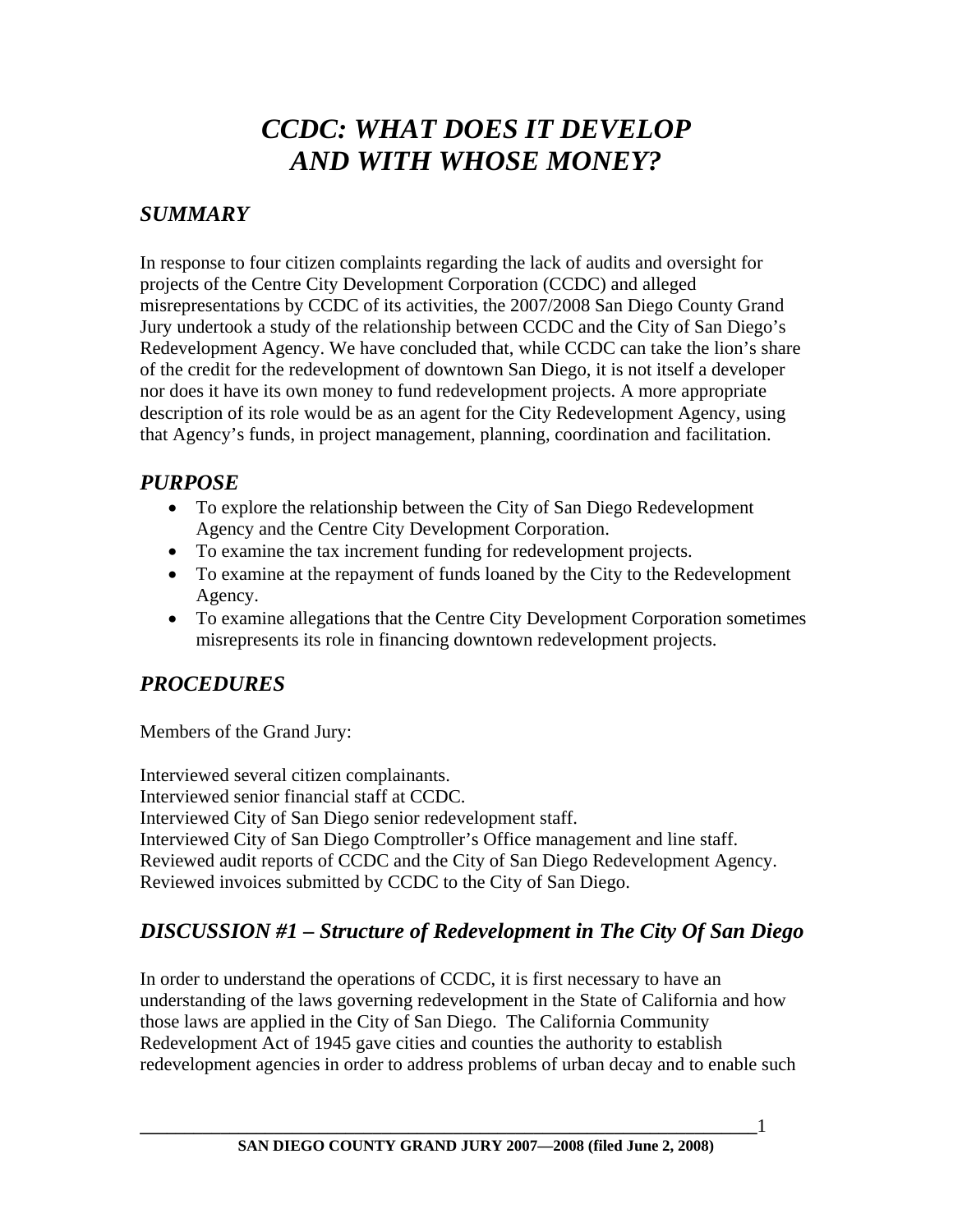# *CCDC: WHAT DOES IT DEVELOP AND WITH WHOSE MONEY?*

### *SUMMARY*

In response to four citizen complaints regarding the lack of audits and oversight for projects of the Centre City Development Corporation (CCDC) and alleged misrepresentations by CCDC of its activities, the 2007/2008 San Diego County Grand Jury undertook a study of the relationship between CCDC and the City of San Diego's Redevelopment Agency. We have concluded that, while CCDC can take the lion's share of the credit for the redevelopment of downtown San Diego, it is not itself a developer nor does it have its own money to fund redevelopment projects. A more appropriate description of its role would be as an agent for the City Redevelopment Agency, using that Agency's funds, in project management, planning, coordination and facilitation.

#### *PURPOSE*

- To explore the relationship between the City of San Diego Redevelopment Agency and the Centre City Development Corporation.
- To examine the tax increment funding for redevelopment projects.
- To examine at the repayment of funds loaned by the City to the Redevelopment Agency.
- To examine allegations that the Centre City Development Corporation sometimes misrepresents its role in financing downtown redevelopment projects.

### *PROCEDURES*

Members of the Grand Jury:

Interviewed several citizen complainants. Interviewed senior financial staff at CCDC. Interviewed City of San Diego senior redevelopment staff. Interviewed City of San Diego Comptroller's Office management and line staff. Reviewed audit reports of CCDC and the City of San Diego Redevelopment Agency. Reviewed invoices submitted by CCDC to the City of San Diego.

# *DISCUSSION #1 – Structure of Redevelopment in The City Of San Diego*

In order to understand the operations of CCDC, it is first necessary to have an understanding of the laws governing redevelopment in the State of California and how those laws are applied in the City of San Diego. The California Community Redevelopment Act of 1945 gave cities and counties the authority to establish redevelopment agencies in order to address problems of urban decay and to enable such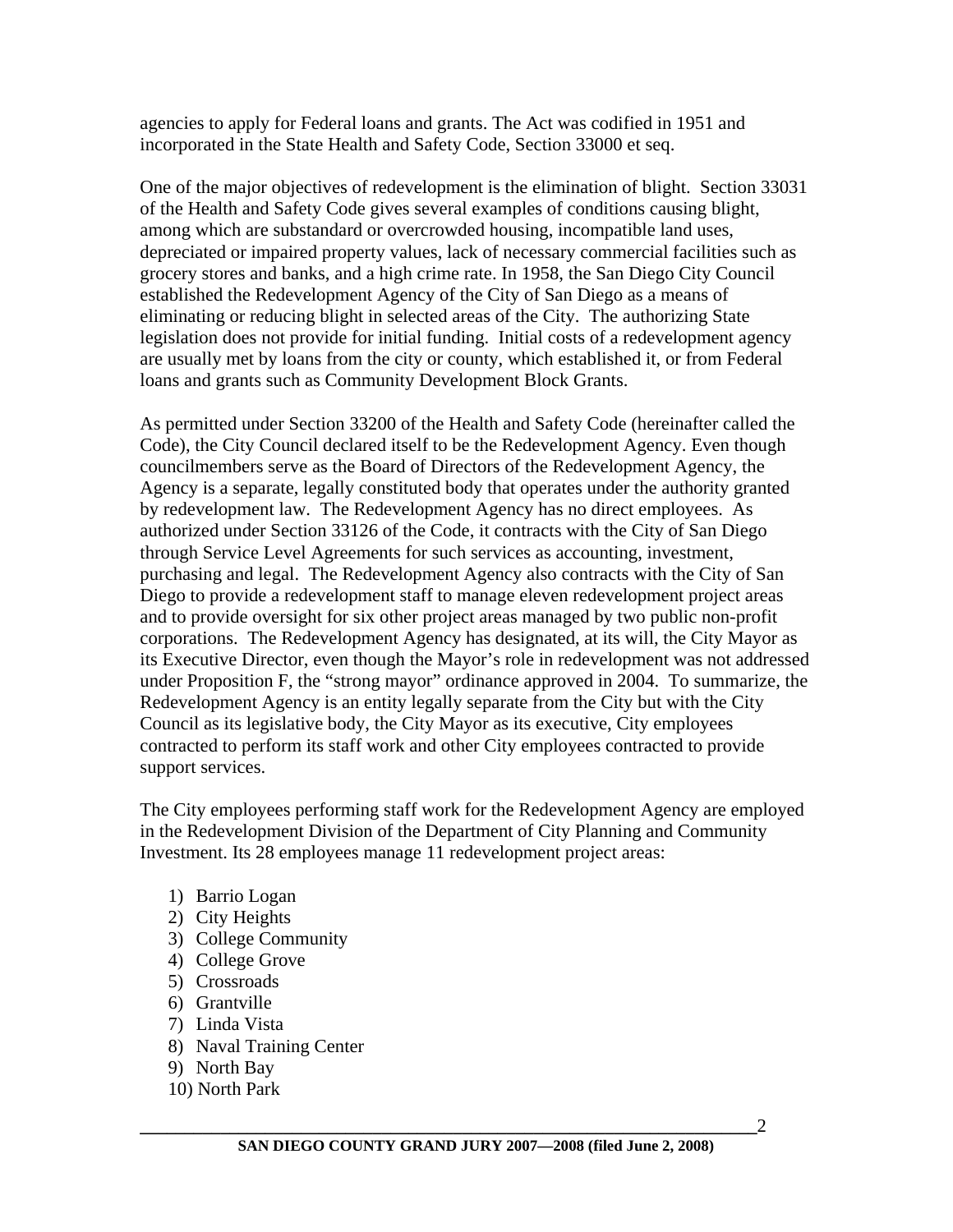agencies to apply for Federal loans and grants. The Act was codified in 1951 and incorporated in the State Health and Safety Code, Section 33000 et seq.

One of the major objectives of redevelopment is the elimination of blight. Section 33031 of the Health and Safety Code gives several examples of conditions causing blight, among which are substandard or overcrowded housing, incompatible land uses, depreciated or impaired property values, lack of necessary commercial facilities such as grocery stores and banks, and a high crime rate. In 1958, the San Diego City Council established the Redevelopment Agency of the City of San Diego as a means of eliminating or reducing blight in selected areas of the City. The authorizing State legislation does not provide for initial funding. Initial costs of a redevelopment agency are usually met by loans from the city or county, which established it, or from Federal loans and grants such as Community Development Block Grants.

As permitted under Section 33200 of the Health and Safety Code (hereinafter called the Code), the City Council declared itself to be the Redevelopment Agency. Even though councilmembers serve as the Board of Directors of the Redevelopment Agency, the Agency is a separate, legally constituted body that operates under the authority granted by redevelopment law. The Redevelopment Agency has no direct employees. As authorized under Section 33126 of the Code, it contracts with the City of San Diego through Service Level Agreements for such services as accounting, investment, purchasing and legal. The Redevelopment Agency also contracts with the City of San Diego to provide a redevelopment staff to manage eleven redevelopment project areas and to provide oversight for six other project areas managed by two public non-profit corporations. The Redevelopment Agency has designated, at its will, the City Mayor as its Executive Director, even though the Mayor's role in redevelopment was not addressed under Proposition F, the "strong mayor" ordinance approved in 2004. To summarize, the Redevelopment Agency is an entity legally separate from the City but with the City Council as its legislative body, the City Mayor as its executive, City employees contracted to perform its staff work and other City employees contracted to provide support services.

The City employees performing staff work for the Redevelopment Agency are employed in the Redevelopment Division of the Department of City Planning and Community Investment. Its 28 employees manage 11 redevelopment project areas:

- 1) Barrio Logan
- 2) City Heights
- 3) College Community
- 4) College Grove
- 5) Crossroads
- 6) Grantville
- 7) Linda Vista
- 8) Naval Training Center
- 9) North Bay
- 10) North Park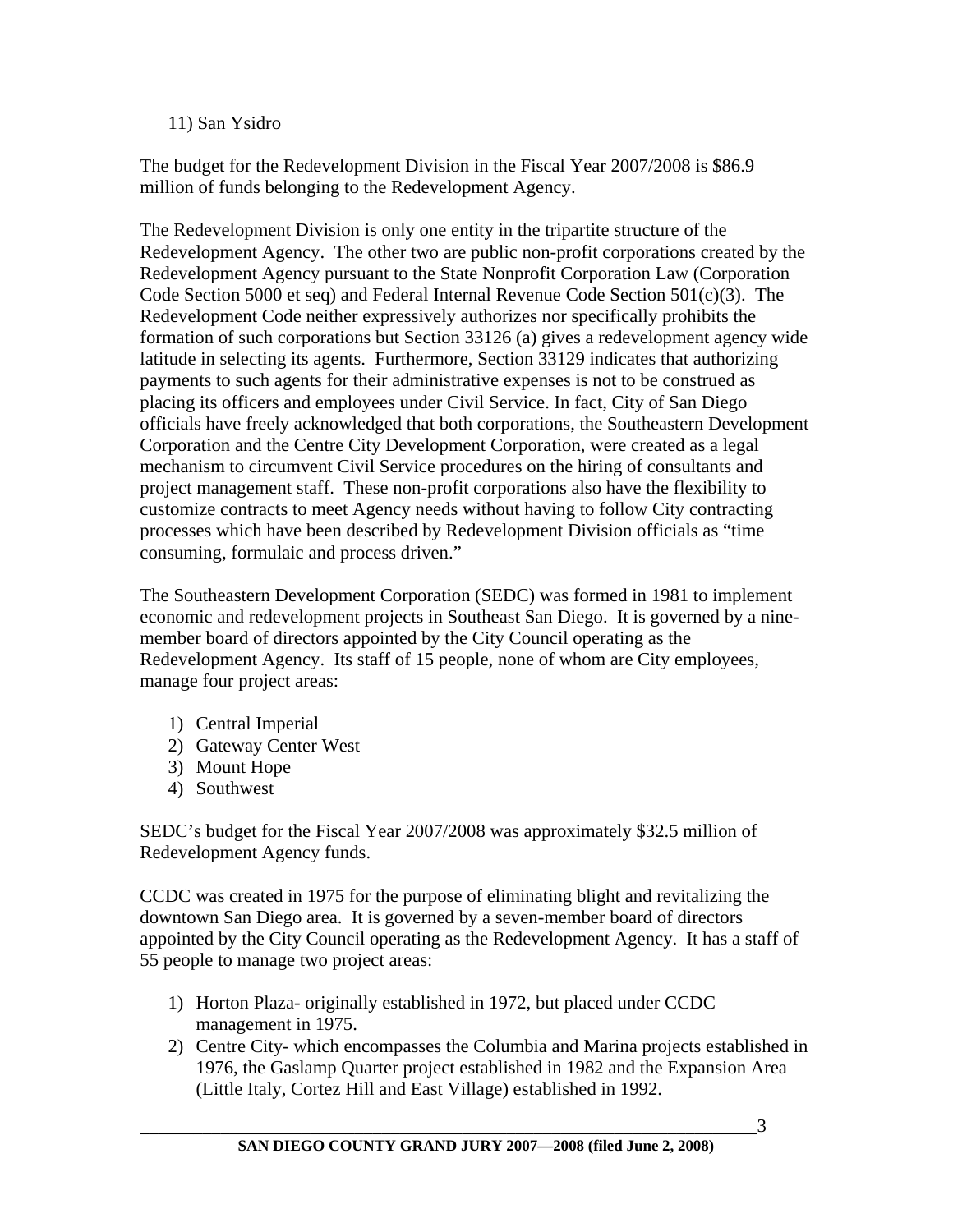11) San Ysidro

The budget for the Redevelopment Division in the Fiscal Year 2007/2008 is \$86.9 million of funds belonging to the Redevelopment Agency.

The Redevelopment Division is only one entity in the tripartite structure of the Redevelopment Agency. The other two are public non-profit corporations created by the Redevelopment Agency pursuant to the State Nonprofit Corporation Law (Corporation Code Section 5000 et seq) and Federal Internal Revenue Code Section 501(c)(3). The Redevelopment Code neither expressively authorizes nor specifically prohibits the formation of such corporations but Section 33126 (a) gives a redevelopment agency wide latitude in selecting its agents. Furthermore, Section 33129 indicates that authorizing payments to such agents for their administrative expenses is not to be construed as placing its officers and employees under Civil Service. In fact, City of San Diego officials have freely acknowledged that both corporations, the Southeastern Development Corporation and the Centre City Development Corporation, were created as a legal mechanism to circumvent Civil Service procedures on the hiring of consultants and project management staff. These non-profit corporations also have the flexibility to customize contracts to meet Agency needs without having to follow City contracting processes which have been described by Redevelopment Division officials as "time consuming, formulaic and process driven."

The Southeastern Development Corporation (SEDC) was formed in 1981 to implement economic and redevelopment projects in Southeast San Diego. It is governed by a ninemember board of directors appointed by the City Council operating as the Redevelopment Agency. Its staff of 15 people, none of whom are City employees, manage four project areas:

- 1) Central Imperial
- 2) Gateway Center West
- 3) Mount Hope
- 4) Southwest

SEDC's budget for the Fiscal Year 2007/2008 was approximately \$32.5 million of Redevelopment Agency funds.

CCDC was created in 1975 for the purpose of eliminating blight and revitalizing the downtown San Diego area. It is governed by a seven-member board of directors appointed by the City Council operating as the Redevelopment Agency. It has a staff of 55 people to manage two project areas:

- 1) Horton Plaza- originally established in 1972, but placed under CCDC management in 1975.
- 2) Centre City- which encompasses the Columbia and Marina projects established in 1976, the Gaslamp Quarter project established in 1982 and the Expansion Area (Little Italy, Cortez Hill and East Village) established in 1992.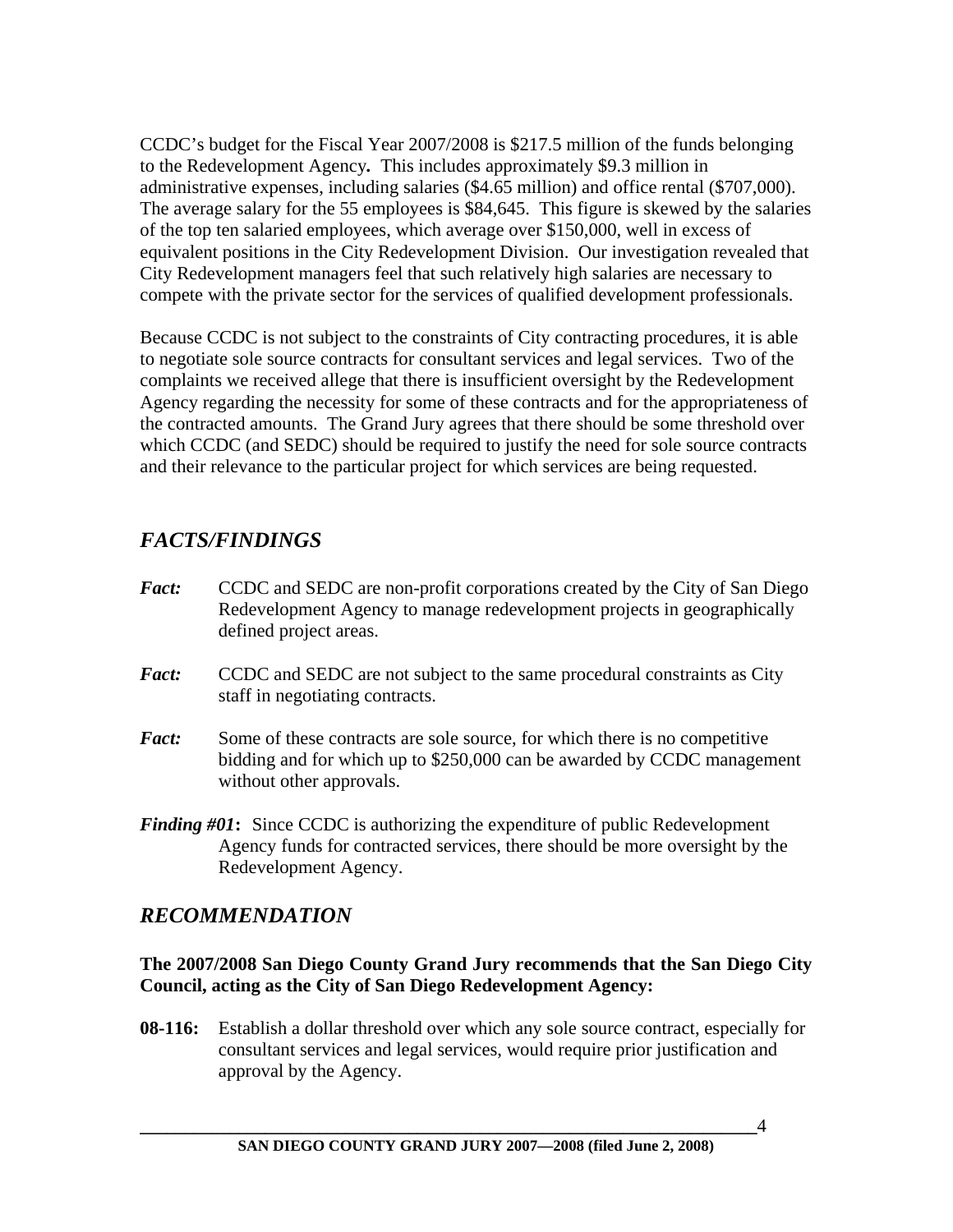CCDC's budget for the Fiscal Year 2007/2008 is \$217.5 million of the funds belonging to the Redevelopment Agency*.* This includes approximately \$9.3 million in administrative expenses, including salaries (\$4.65 million) and office rental (\$707,000). The average salary for the 55 employees is \$84,645. This figure is skewed by the salaries of the top ten salaried employees, which average over \$150,000, well in excess of equivalent positions in the City Redevelopment Division. Our investigation revealed that City Redevelopment managers feel that such relatively high salaries are necessary to compete with the private sector for the services of qualified development professionals.

Because CCDC is not subject to the constraints of City contracting procedures, it is able to negotiate sole source contracts for consultant services and legal services. Two of the complaints we received allege that there is insufficient oversight by the Redevelopment Agency regarding the necessity for some of these contracts and for the appropriateness of the contracted amounts. The Grand Jury agrees that there should be some threshold over which CCDC (and SEDC) should be required to justify the need for sole source contracts and their relevance to the particular project for which services are being requested.

### *FACTS/FINDINGS*

- *Fact:* CCDC and SEDC are non-profit corporations created by the City of San Diego Redevelopment Agency to manage redevelopment projects in geographically defined project areas.
- *Fact:* CCDC and SEDC are not subject to the same procedural constraints as City staff in negotiating contracts.
- *Fact:* Some of these contracts are sole source, for which there is no competitive bidding and for which up to \$250,000 can be awarded by CCDC management without other approvals.
- *Finding #01***:** Since CCDC is authorizing the expenditure of public Redevelopment Agency funds for contracted services, there should be more oversight by the Redevelopment Agency.

#### *RECOMMENDATION*

#### **The 2007/2008 San Diego County Grand Jury recommends that the San Diego City Council, acting as the City of San Diego Redevelopment Agency:**

**08-116:** Establish a dollar threshold over which any sole source contract, especially for consultant services and legal services, would require prior justification and approval by the Agency.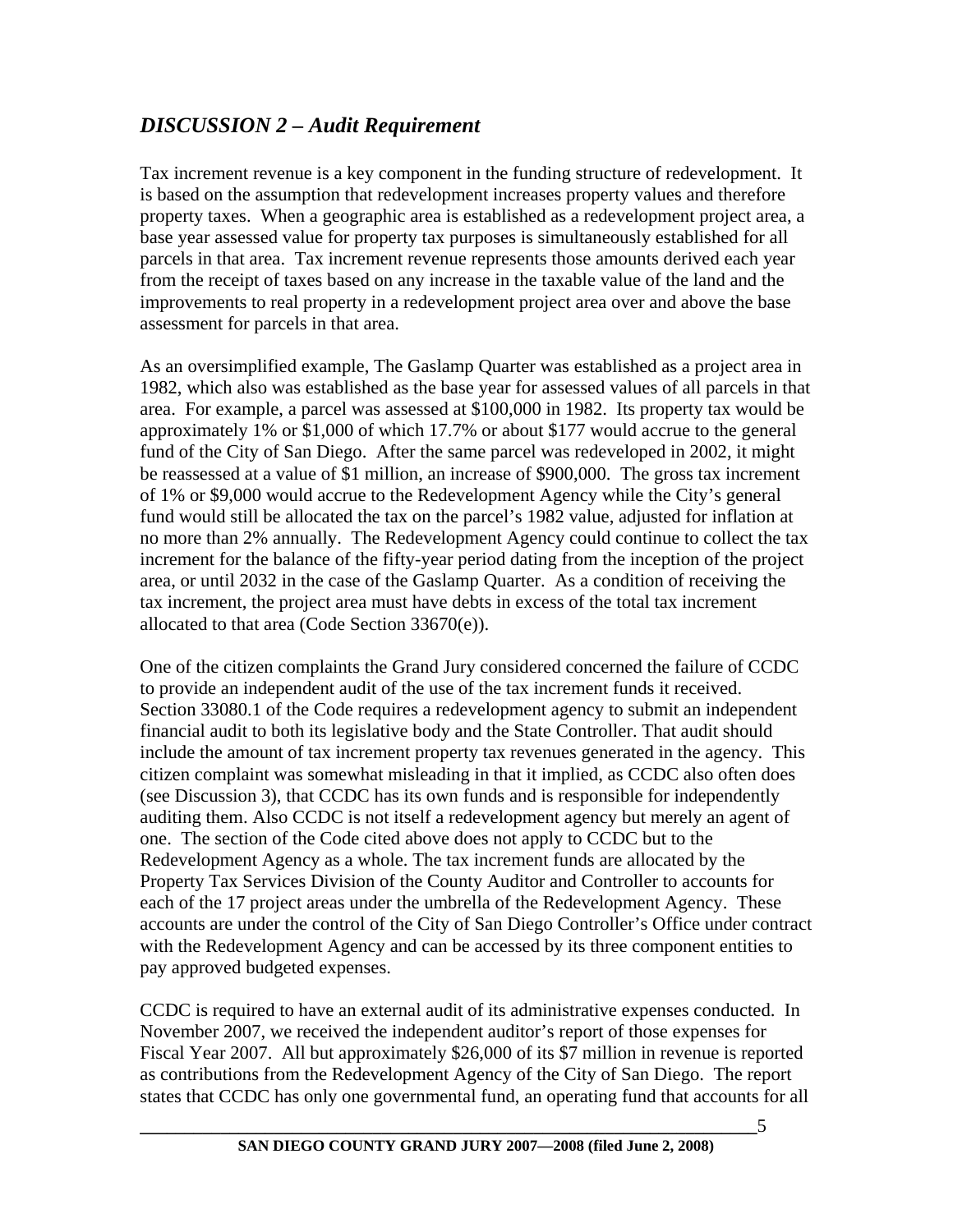### *DISCUSSION 2 – Audit Requirement*

Tax increment revenue is a key component in the funding structure of redevelopment. It is based on the assumption that redevelopment increases property values and therefore property taxes. When a geographic area is established as a redevelopment project area, a base year assessed value for property tax purposes is simultaneously established for all parcels in that area. Tax increment revenue represents those amounts derived each year from the receipt of taxes based on any increase in the taxable value of the land and the improvements to real property in a redevelopment project area over and above the base assessment for parcels in that area.

As an oversimplified example, The Gaslamp Quarter was established as a project area in 1982, which also was established as the base year for assessed values of all parcels in that area. For example, a parcel was assessed at \$100,000 in 1982. Its property tax would be approximately 1% or \$1,000 of which 17.7% or about \$177 would accrue to the general fund of the City of San Diego. After the same parcel was redeveloped in 2002, it might be reassessed at a value of \$1 million, an increase of \$900,000. The gross tax increment of 1% or \$9,000 would accrue to the Redevelopment Agency while the City's general fund would still be allocated the tax on the parcel's 1982 value, adjusted for inflation at no more than 2% annually. The Redevelopment Agency could continue to collect the tax increment for the balance of the fifty-year period dating from the inception of the project area, or until 2032 in the case of the Gaslamp Quarter. As a condition of receiving the tax increment, the project area must have debts in excess of the total tax increment allocated to that area (Code Section 33670(e)).

One of the citizen complaints the Grand Jury considered concerned the failure of CCDC to provide an independent audit of the use of the tax increment funds it received. Section 33080.1 of the Code requires a redevelopment agency to submit an independent financial audit to both its legislative body and the State Controller. That audit should include the amount of tax increment property tax revenues generated in the agency. This citizen complaint was somewhat misleading in that it implied, as CCDC also often does (see Discussion 3), that CCDC has its own funds and is responsible for independently auditing them. Also CCDC is not itself a redevelopment agency but merely an agent of one. The section of the Code cited above does not apply to CCDC but to the Redevelopment Agency as a whole. The tax increment funds are allocated by the Property Tax Services Division of the County Auditor and Controller to accounts for each of the 17 project areas under the umbrella of the Redevelopment Agency. These accounts are under the control of the City of San Diego Controller's Office under contract with the Redevelopment Agency and can be accessed by its three component entities to pay approved budgeted expenses.

CCDC is required to have an external audit of its administrative expenses conducted. In November 2007, we received the independent auditor's report of those expenses for Fiscal Year 2007. All but approximately \$26,000 of its \$7 million in revenue is reported as contributions from the Redevelopment Agency of the City of San Diego. The report states that CCDC has only one governmental fund, an operating fund that accounts for all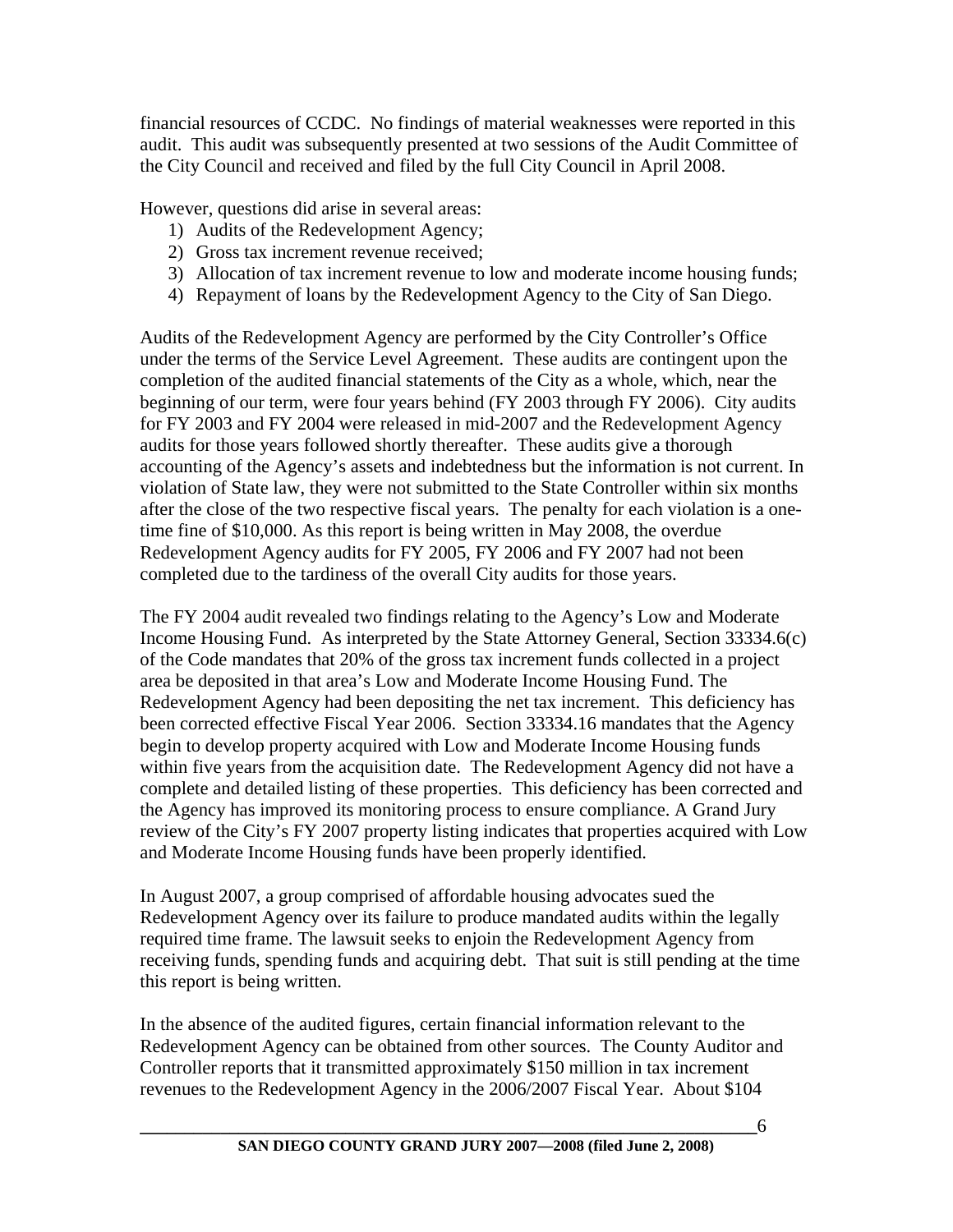financial resources of CCDC. No findings of material weaknesses were reported in this audit. This audit was subsequently presented at two sessions of the Audit Committee of the City Council and received and filed by the full City Council in April 2008.

However, questions did arise in several areas:

- 1) Audits of the Redevelopment Agency;
- 2) Gross tax increment revenue received;
- 3) Allocation of tax increment revenue to low and moderate income housing funds;
- 4) Repayment of loans by the Redevelopment Agency to the City of San Diego.

Audits of the Redevelopment Agency are performed by the City Controller's Office under the terms of the Service Level Agreement. These audits are contingent upon the completion of the audited financial statements of the City as a whole, which, near the beginning of our term, were four years behind (FY 2003 through FY 2006). City audits for FY 2003 and FY 2004 were released in mid-2007 and the Redevelopment Agency audits for those years followed shortly thereafter. These audits give a thorough accounting of the Agency's assets and indebtedness but the information is not current. In violation of State law, they were not submitted to the State Controller within six months after the close of the two respective fiscal years. The penalty for each violation is a onetime fine of \$10,000. As this report is being written in May 2008, the overdue Redevelopment Agency audits for FY 2005, FY 2006 and FY 2007 had not been completed due to the tardiness of the overall City audits for those years.

The FY 2004 audit revealed two findings relating to the Agency's Low and Moderate Income Housing Fund. As interpreted by the State Attorney General, Section 33334.6(c) of the Code mandates that 20% of the gross tax increment funds collected in a project area be deposited in that area's Low and Moderate Income Housing Fund. The Redevelopment Agency had been depositing the net tax increment. This deficiency has been corrected effective Fiscal Year 2006. Section 33334.16 mandates that the Agency begin to develop property acquired with Low and Moderate Income Housing funds within five years from the acquisition date. The Redevelopment Agency did not have a complete and detailed listing of these properties. This deficiency has been corrected and the Agency has improved its monitoring process to ensure compliance. A Grand Jury review of the City's FY 2007 property listing indicates that properties acquired with Low and Moderate Income Housing funds have been properly identified.

In August 2007, a group comprised of affordable housing advocates sued the Redevelopment Agency over its failure to produce mandated audits within the legally required time frame. The lawsuit seeks to enjoin the Redevelopment Agency from receiving funds, spending funds and acquiring debt. That suit is still pending at the time this report is being written.

In the absence of the audited figures, certain financial information relevant to the Redevelopment Agency can be obtained from other sources. The County Auditor and Controller reports that it transmitted approximately \$150 million in tax increment revenues to the Redevelopment Agency in the 2006/2007 Fiscal Year. About \$104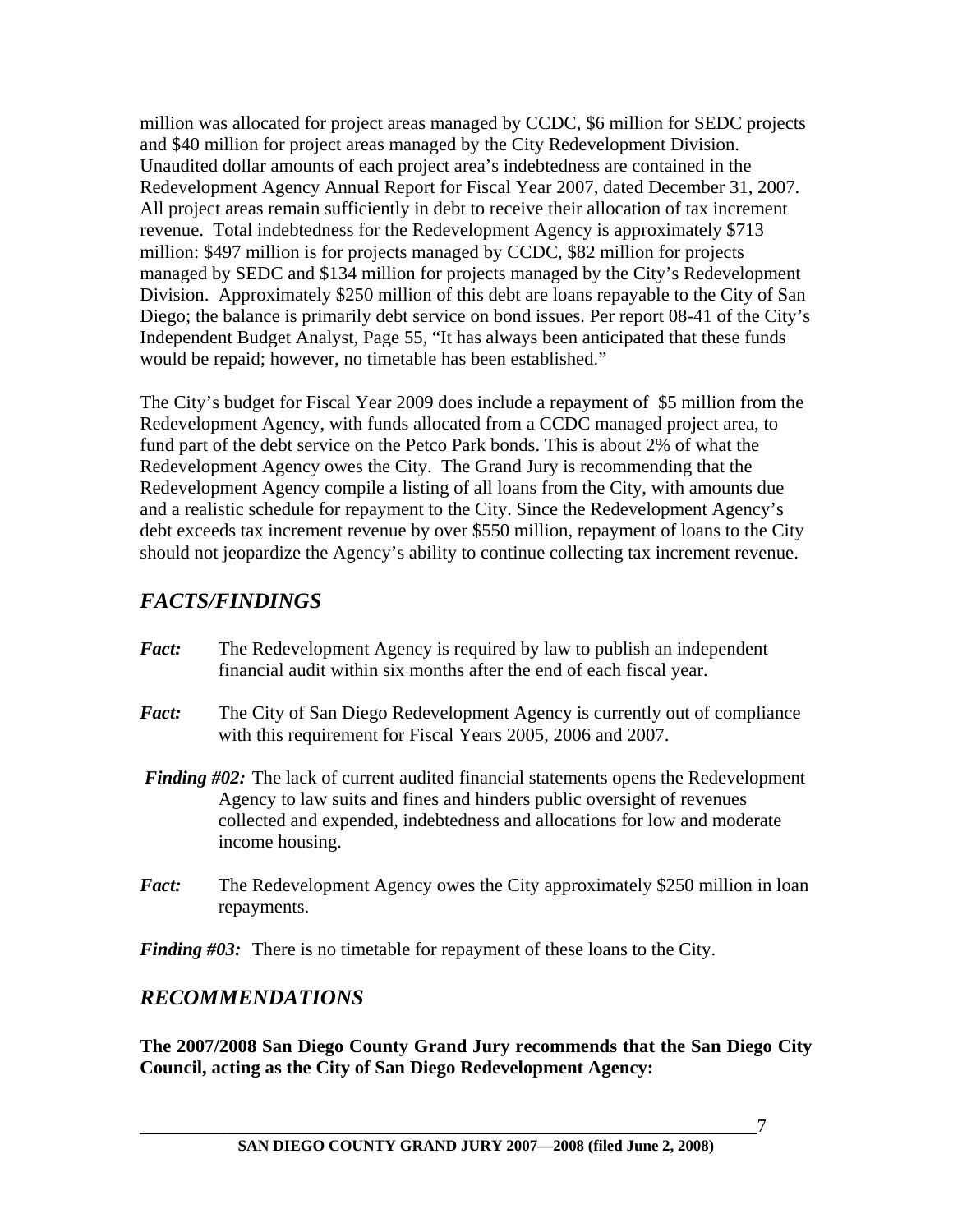million was allocated for project areas managed by CCDC, \$6 million for SEDC projects and \$40 million for project areas managed by the City Redevelopment Division. Unaudited dollar amounts of each project area's indebtedness are contained in the Redevelopment Agency Annual Report for Fiscal Year 2007, dated December 31, 2007. All project areas remain sufficiently in debt to receive their allocation of tax increment revenue. Total indebtedness for the Redevelopment Agency is approximately \$713 million: \$497 million is for projects managed by CCDC, \$82 million for projects managed by SEDC and \$134 million for projects managed by the City's Redevelopment Division. Approximately \$250 million of this debt are loans repayable to the City of San Diego; the balance is primarily debt service on bond issues. Per report 08-41 of the City's Independent Budget Analyst, Page 55, "It has always been anticipated that these funds would be repaid; however, no timetable has been established."

The City's budget for Fiscal Year 2009 does include a repayment of \$5 million from the Redevelopment Agency, with funds allocated from a CCDC managed project area, to fund part of the debt service on the Petco Park bonds. This is about 2% of what the Redevelopment Agency owes the City. The Grand Jury is recommending that the Redevelopment Agency compile a listing of all loans from the City, with amounts due and a realistic schedule for repayment to the City. Since the Redevelopment Agency's debt exceeds tax increment revenue by over \$550 million, repayment of loans to the City should not jeopardize the Agency's ability to continue collecting tax increment revenue.

### *FACTS/FINDINGS*

- *Fact:* The Redevelopment Agency is required by law to publish an independent financial audit within six months after the end of each fiscal year.
- *Fact:* The City of San Diego Redevelopment Agency is currently out of compliance with this requirement for Fiscal Years 2005, 2006 and 2007.
- *Finding #02:* The lack of current audited financial statements opens the Redevelopment Agency to law suits and fines and hinders public oversight of revenues collected and expended, indebtedness and allocations for low and moderate income housing.
- *Fact:* The Redevelopment Agency owes the City approximately \$250 million in loan repayments.

*Finding #03:* There is no timetable for repayment of these loans to the City.

### *RECOMMENDATIONS*

**The 2007/2008 San Diego County Grand Jury recommends that the San Diego City Council, acting as the City of San Diego Redevelopment Agency:**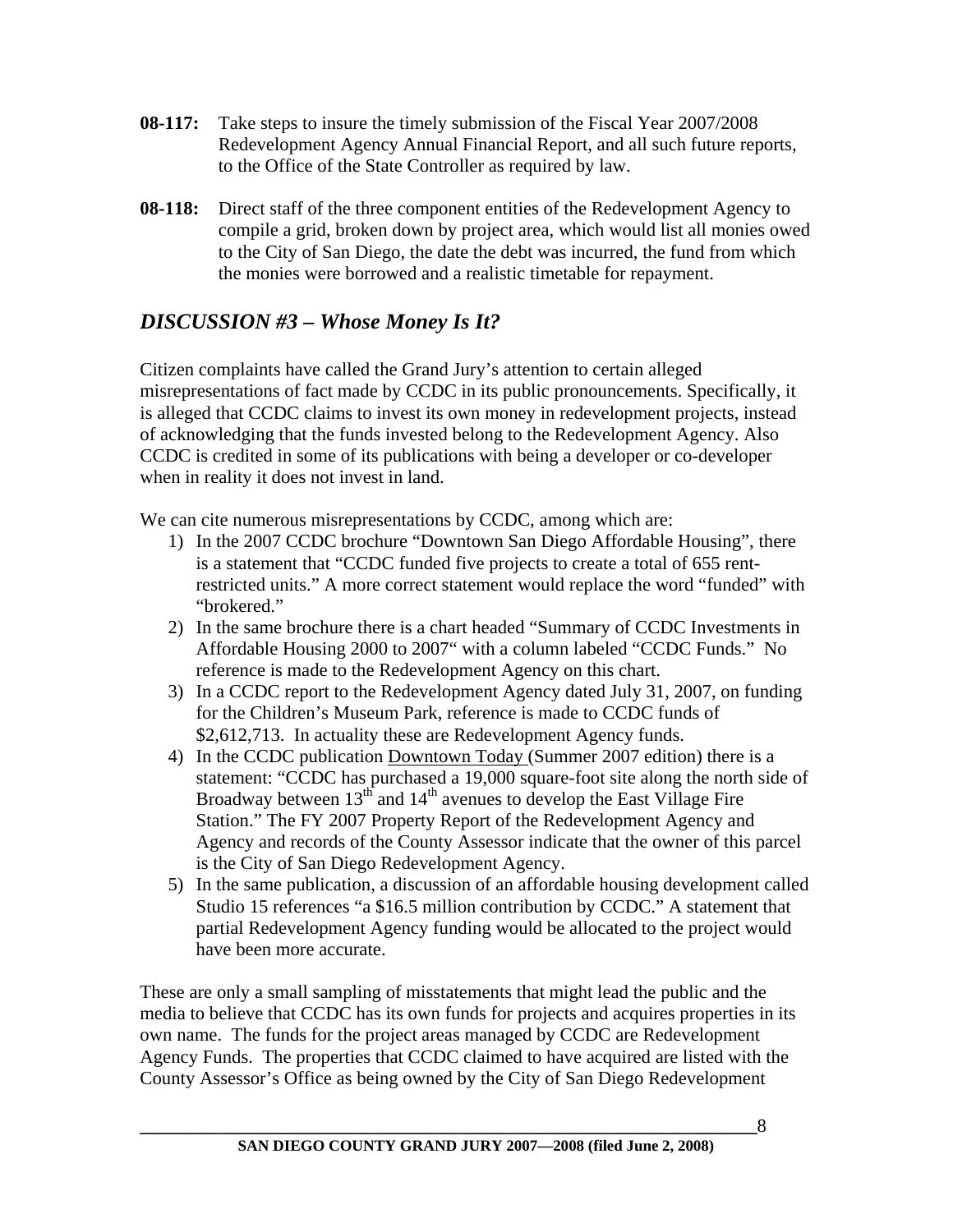- **08-117:** Take steps to insure the timely submission of the Fiscal Year 2007/2008 Redevelopment Agency Annual Financial Report, and all such future reports, to the Office of the State Controller as required by law.
- **08-118:** Direct staff of the three component entities of the Redevelopment Agency to compile a grid, broken down by project area, which would list all monies owed to the City of San Diego, the date the debt was incurred, the fund from which the monies were borrowed and a realistic timetable for repayment.

### *DISCUSSION #3 – Whose Money Is It?*

Citizen complaints have called the Grand Jury's attention to certain alleged misrepresentations of fact made by CCDC in its public pronouncements. Specifically, it is alleged that CCDC claims to invest its own money in redevelopment projects, instead of acknowledging that the funds invested belong to the Redevelopment Agency. Also CCDC is credited in some of its publications with being a developer or co-developer when in reality it does not invest in land.

We can cite numerous misrepresentations by CCDC, among which are:

- 1) In the 2007 CCDC brochure "Downtown San Diego Affordable Housing", there is a statement that "CCDC funded five projects to create a total of 655 rentrestricted units." A more correct statement would replace the word "funded" with "brokered."
- 2) In the same brochure there is a chart headed "Summary of CCDC Investments in Affordable Housing 2000 to 2007" with a column labeled "CCDC Funds." No reference is made to the Redevelopment Agency on this chart.
- 3) In a CCDC report to the Redevelopment Agency dated July 31, 2007, on funding for the Children's Museum Park, reference is made to CCDC funds of \$2,612,713. In actuality these are Redevelopment Agency funds.
- 4) In the CCDC publication Downtown Today (Summer 2007 edition) there is a statement: "CCDC has purchased a 19,000 square-foot site along the north side of Broadway between  $13<sup>th</sup>$  and  $14<sup>th</sup>$  avenues to develop the East Village Fire Station." The FY 2007 Property Report of the Redevelopment Agency and Agency and records of the County Assessor indicate that the owner of this parcel is the City of San Diego Redevelopment Agency.
- 5) In the same publication, a discussion of an affordable housing development called Studio 15 references "a \$16.5 million contribution by CCDC." A statement that partial Redevelopment Agency funding would be allocated to the project would have been more accurate.

These are only a small sampling of misstatements that might lead the public and the media to believe that CCDC has its own funds for projects and acquires properties in its own name. The funds for the project areas managed by CCDC are Redevelopment Agency Funds. The properties that CCDC claimed to have acquired are listed with the County Assessor's Office as being owned by the City of San Diego Redevelopment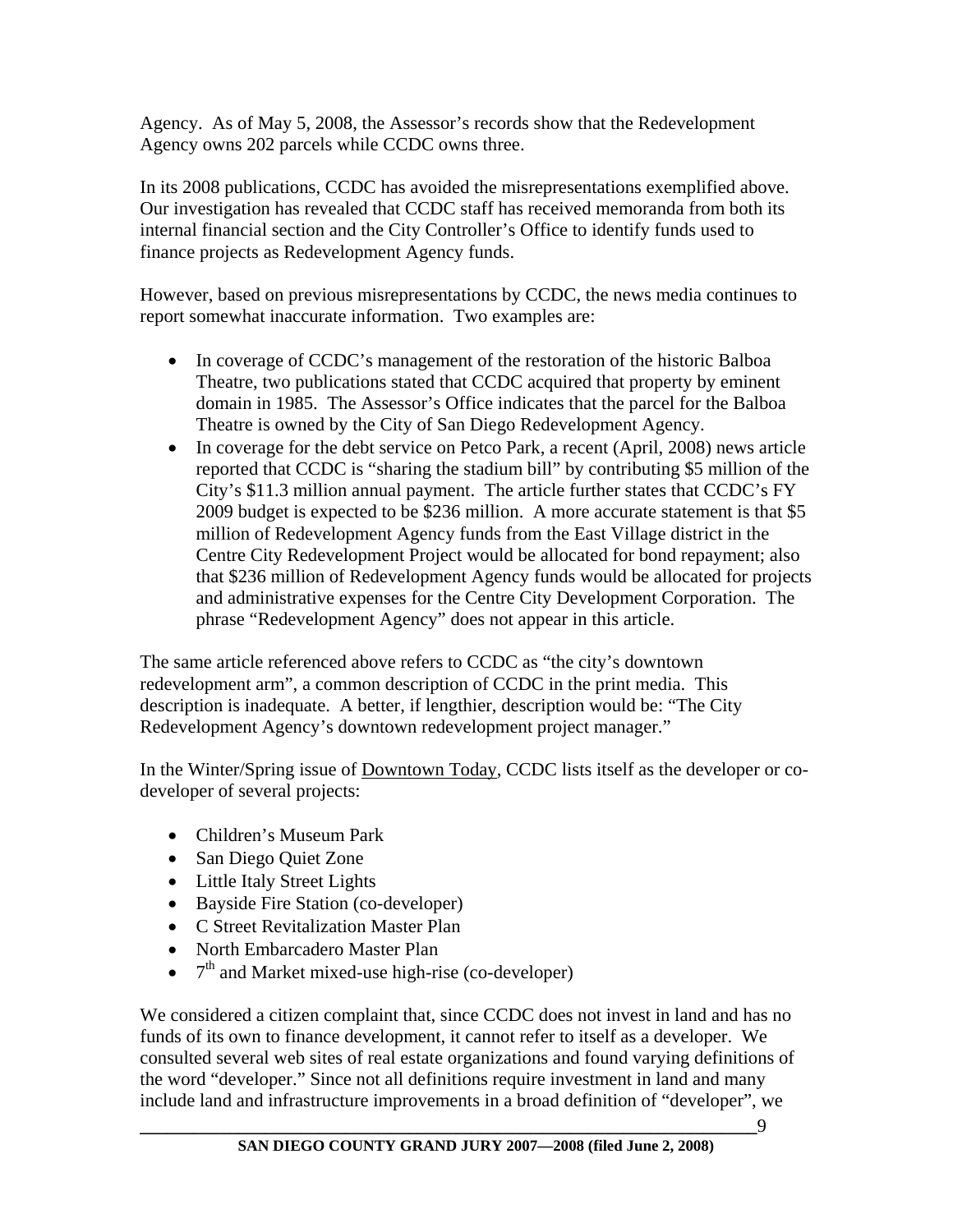Agency. As of May 5, 2008, the Assessor's records show that the Redevelopment Agency owns 202 parcels while CCDC owns three.

In its 2008 publications, CCDC has avoided the misrepresentations exemplified above. Our investigation has revealed that CCDC staff has received memoranda from both its internal financial section and the City Controller's Office to identify funds used to finance projects as Redevelopment Agency funds.

However, based on previous misrepresentations by CCDC, the news media continues to report somewhat inaccurate information. Two examples are:

- In coverage of CCDC's management of the restoration of the historic Balboa Theatre, two publications stated that CCDC acquired that property by eminent domain in 1985. The Assessor's Office indicates that the parcel for the Balboa Theatre is owned by the City of San Diego Redevelopment Agency.
- In coverage for the debt service on Petco Park, a recent (April, 2008) news article reported that CCDC is "sharing the stadium bill" by contributing \$5 million of the City's \$11.3 million annual payment. The article further states that CCDC's FY 2009 budget is expected to be \$236 million. A more accurate statement is that \$5 million of Redevelopment Agency funds from the East Village district in the Centre City Redevelopment Project would be allocated for bond repayment; also that \$236 million of Redevelopment Agency funds would be allocated for projects and administrative expenses for the Centre City Development Corporation. The phrase "Redevelopment Agency" does not appear in this article.

The same article referenced above refers to CCDC as "the city's downtown redevelopment arm", a common description of CCDC in the print media. This description is inadequate. A better, if lengthier, description would be: "The City Redevelopment Agency's downtown redevelopment project manager."

In the Winter/Spring issue of Downtown Today, CCDC lists itself as the developer or codeveloper of several projects:

- Children's Museum Park
- San Diego Quiet Zone
- Little Italy Street Lights
- Bayside Fire Station (co-developer)
- C Street Revitalization Master Plan
- North Embarcadero Master Plan
- $\bullet$   $7<sup>th</sup>$  and Market mixed-use high-rise (co-developer)

We considered a citizen complaint that, since CCDC does not invest in land and has no funds of its own to finance development, it cannot refer to itself as a developer. We consulted several web sites of real estate organizations and found varying definitions of the word "developer." Since not all definitions require investment in land and many include land and infrastructure improvements in a broad definition of "developer", we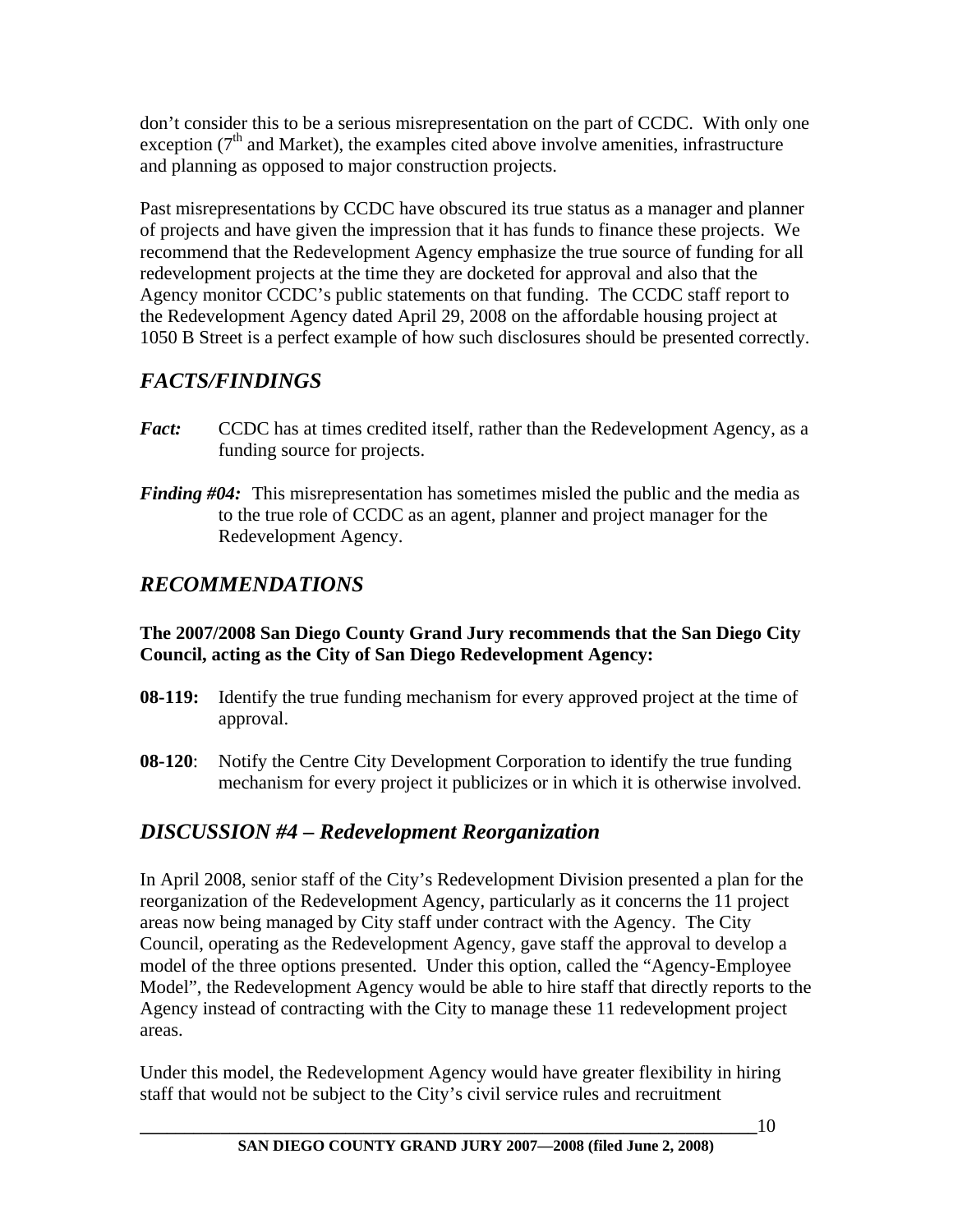don't consider this to be a serious misrepresentation on the part of CCDC. With only one exception ( $7<sup>th</sup>$  and Market), the examples cited above involve amenities, infrastructure and planning as opposed to major construction projects.

Past misrepresentations by CCDC have obscured its true status as a manager and planner of projects and have given the impression that it has funds to finance these projects. We recommend that the Redevelopment Agency emphasize the true source of funding for all redevelopment projects at the time they are docketed for approval and also that the Agency monitor CCDC's public statements on that funding. The CCDC staff report to the Redevelopment Agency dated April 29, 2008 on the affordable housing project at 1050 B Street is a perfect example of how such disclosures should be presented correctly.

### *FACTS/FINDINGS*

- *Fact:* CCDC has at times credited itself, rather than the Redevelopment Agency, as a funding source for projects.
- *Finding #04:* This misrepresentation has sometimes misled the public and the media as to the true role of CCDC as an agent, planner and project manager for the Redevelopment Agency.

# *RECOMMENDATIONS*

#### **The 2007/2008 San Diego County Grand Jury recommends that the San Diego City Council, acting as the City of San Diego Redevelopment Agency:**

- **08-119:** Identify the true funding mechanism for every approved project at the time of approval.
- **08-120**: Notify the Centre City Development Corporation to identify the true funding mechanism for every project it publicizes or in which it is otherwise involved.

# *DISCUSSION #4 – Redevelopment Reorganization*

In April 2008, senior staff of the City's Redevelopment Division presented a plan for the reorganization of the Redevelopment Agency, particularly as it concerns the 11 project areas now being managed by City staff under contract with the Agency. The City Council, operating as the Redevelopment Agency, gave staff the approval to develop a model of the three options presented. Under this option, called the "Agency-Employee Model", the Redevelopment Agency would be able to hire staff that directly reports to the Agency instead of contracting with the City to manage these 11 redevelopment project areas.

Under this model, the Redevelopment Agency would have greater flexibility in hiring staff that would not be subject to the City's civil service rules and recruitment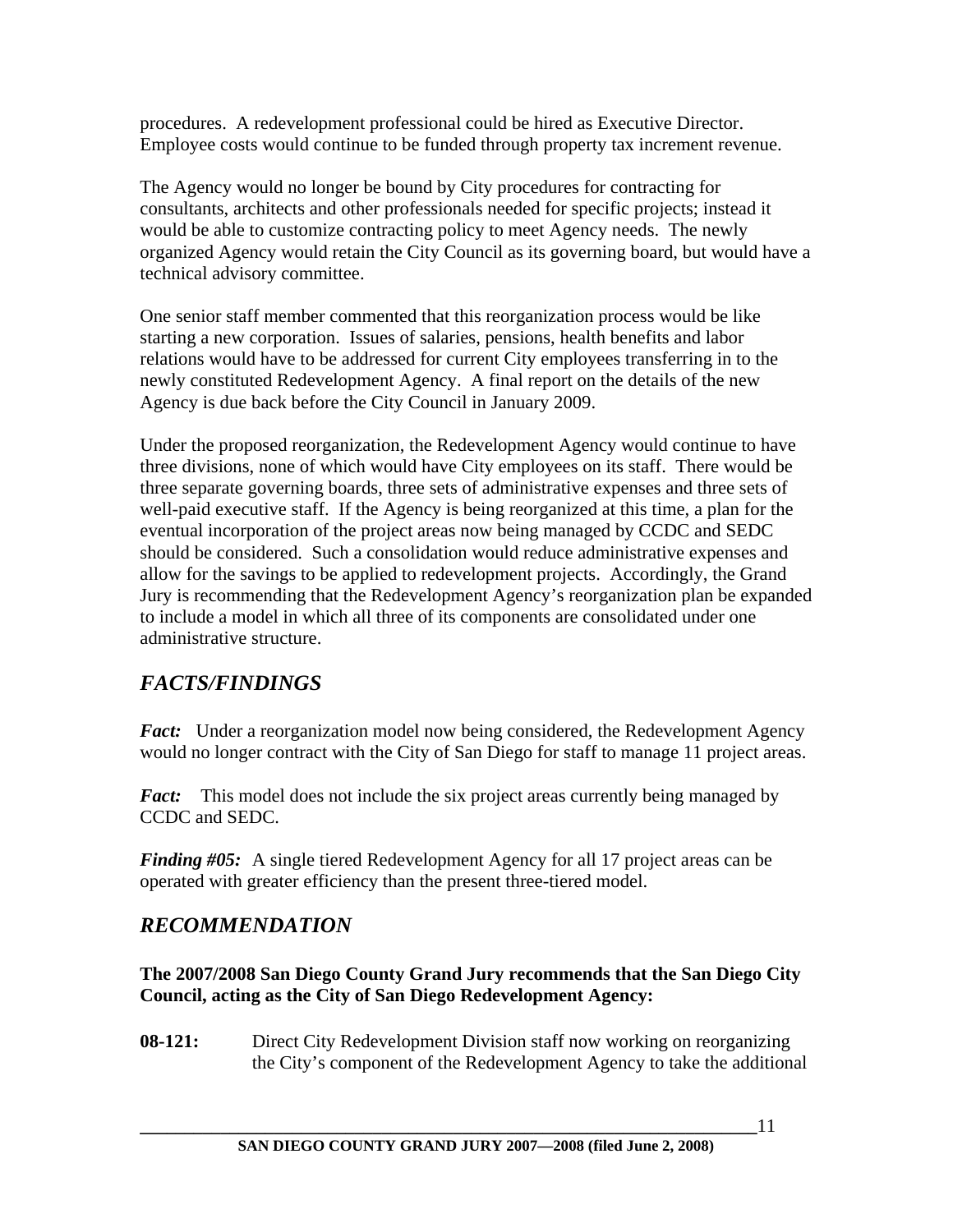procedures. A redevelopment professional could be hired as Executive Director. Employee costs would continue to be funded through property tax increment revenue.

The Agency would no longer be bound by City procedures for contracting for consultants, architects and other professionals needed for specific projects; instead it would be able to customize contracting policy to meet Agency needs. The newly organized Agency would retain the City Council as its governing board, but would have a technical advisory committee.

One senior staff member commented that this reorganization process would be like starting a new corporation. Issues of salaries, pensions, health benefits and labor relations would have to be addressed for current City employees transferring in to the newly constituted Redevelopment Agency. A final report on the details of the new Agency is due back before the City Council in January 2009.

Under the proposed reorganization, the Redevelopment Agency would continue to have three divisions, none of which would have City employees on its staff. There would be three separate governing boards, three sets of administrative expenses and three sets of well-paid executive staff. If the Agency is being reorganized at this time, a plan for the eventual incorporation of the project areas now being managed by CCDC and SEDC should be considered. Such a consolidation would reduce administrative expenses and allow for the savings to be applied to redevelopment projects. Accordingly, the Grand Jury is recommending that the Redevelopment Agency's reorganization plan be expanded to include a model in which all three of its components are consolidated under one administrative structure.

# *FACTS/FINDINGS*

*Fact:* Under a reorganization model now being considered, the Redevelopment Agency would no longer contract with the City of San Diego for staff to manage 11 project areas.

Fact: This model does not include the six project areas currently being managed by CCDC and SEDC.

*Finding #05:* A single tiered Redevelopment Agency for all 17 project areas can be operated with greater efficiency than the present three-tiered model.

### *RECOMMENDATION*

**The 2007/2008 San Diego County Grand Jury recommends that the San Diego City Council, acting as the City of San Diego Redevelopment Agency:** 

**08-121:** Direct City Redevelopment Division staff now working on reorganizing the City's component of the Redevelopment Agency to take the additional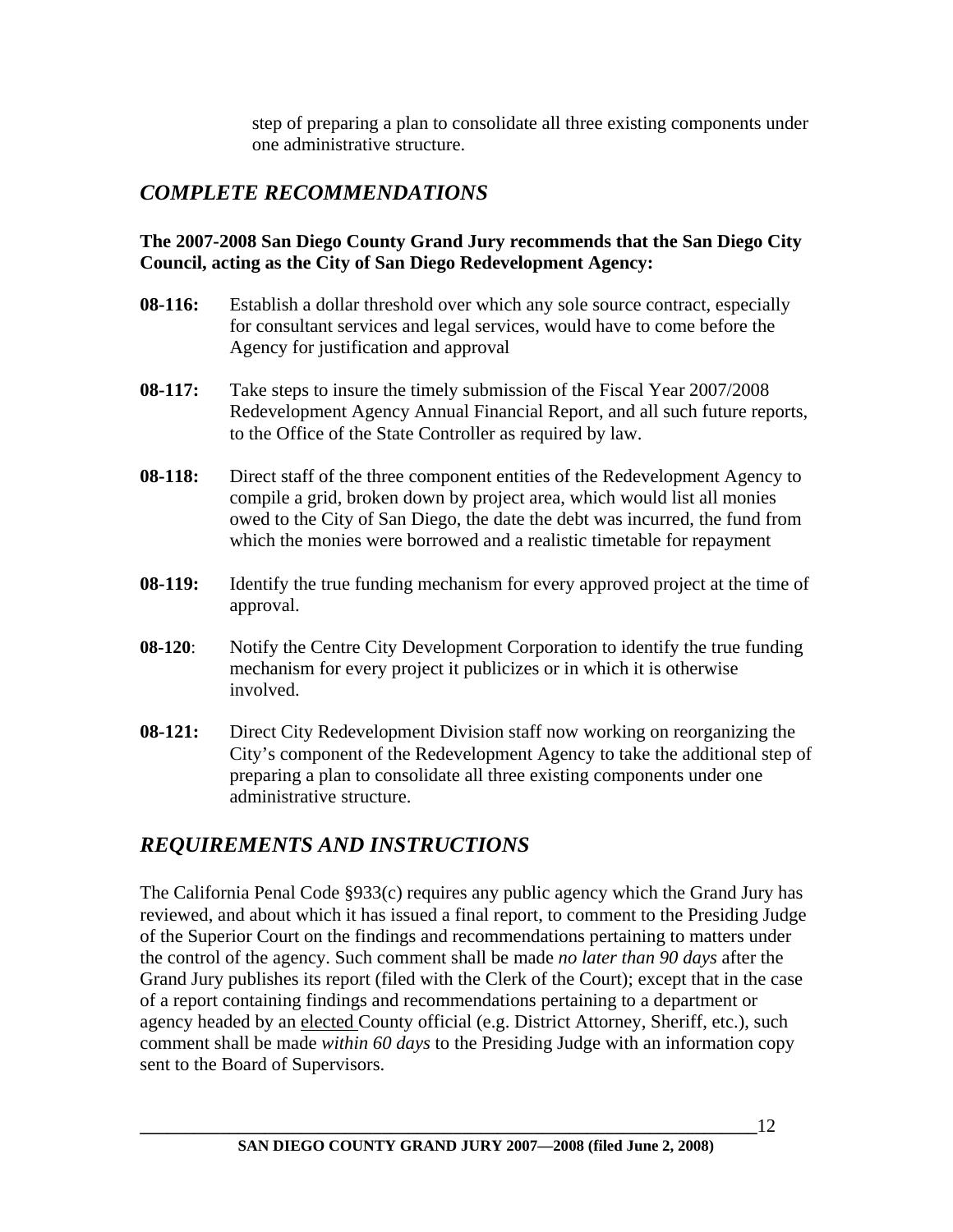step of preparing a plan to consolidate all three existing components under one administrative structure.

### *COMPLETE RECOMMENDATIONS*

#### **The 2007-2008 San Diego County Grand Jury recommends that the San Diego City Council, acting as the City of San Diego Redevelopment Agency:**

- **08-116:** Establish a dollar threshold over which any sole source contract, especially for consultant services and legal services, would have to come before the Agency for justification and approval
- **08-117:** Take steps to insure the timely submission of the Fiscal Year 2007/2008 Redevelopment Agency Annual Financial Report, and all such future reports, to the Office of the State Controller as required by law.
- **08-118:** Direct staff of the three component entities of the Redevelopment Agency to compile a grid, broken down by project area, which would list all monies owed to the City of San Diego, the date the debt was incurred, the fund from which the monies were borrowed and a realistic timetable for repayment
- **08-119:** Identify the true funding mechanism for every approved project at the time of approval.
- **08-120**: Notify the Centre City Development Corporation to identify the true funding mechanism for every project it publicizes or in which it is otherwise involved.
- **08-121:** Direct City Redevelopment Division staff now working on reorganizing the City's component of the Redevelopment Agency to take the additional step of preparing a plan to consolidate all three existing components under one administrative structure.

### *REQUIREMENTS AND INSTRUCTIONS*

The California Penal Code §933(c) requires any public agency which the Grand Jury has reviewed, and about which it has issued a final report, to comment to the Presiding Judge of the Superior Court on the findings and recommendations pertaining to matters under the control of the agency. Such comment shall be made *no later than 90 days* after the Grand Jury publishes its report (filed with the Clerk of the Court); except that in the case of a report containing findings and recommendations pertaining to a department or agency headed by an elected County official (e.g. District Attorney, Sheriff, etc.), such comment shall be made *within 60 days* to the Presiding Judge with an information copy sent to the Board of Supervisors.